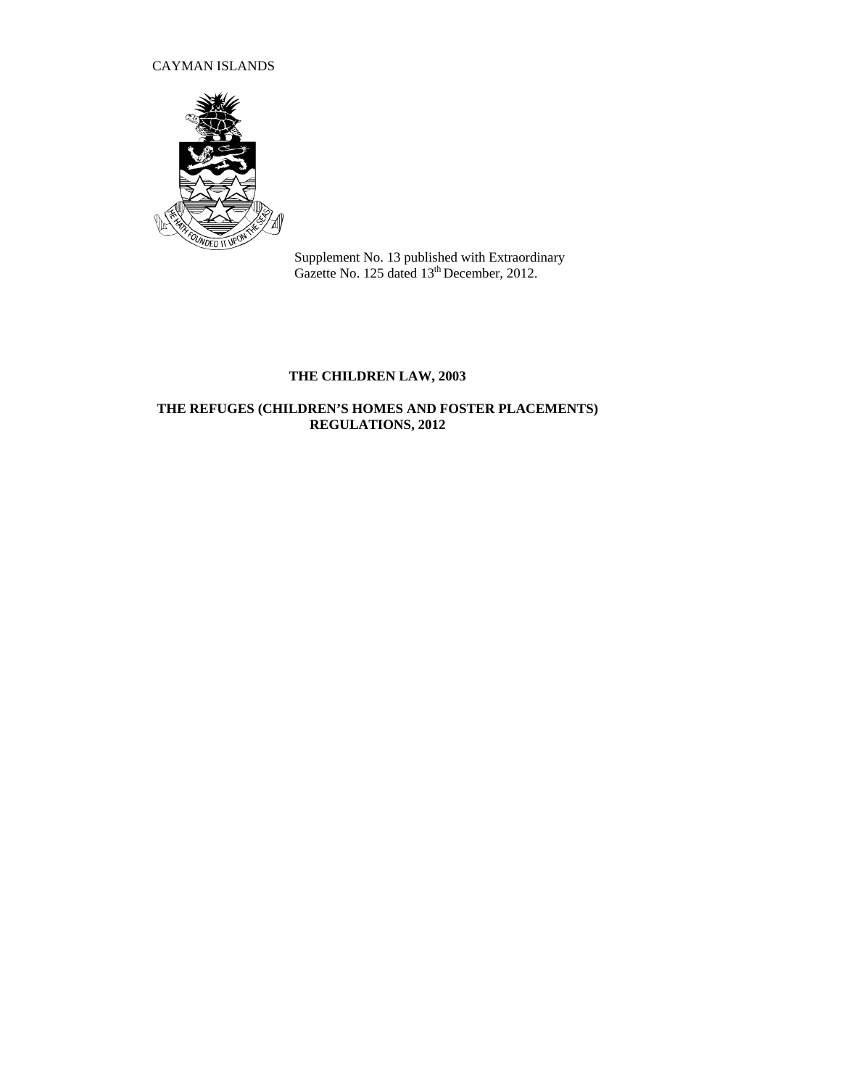CAYMAN ISLANDS



Supplement No. 13 published with Extraordinary Gazette No. 125 dated 13<sup>th</sup> December, 2012.

# **THE CHILDREN LAW, 2003**

## **THE REFUGES (CHILDREN'S HOMES AND FOSTER PLACEMENTS) REGULATIONS, 2012**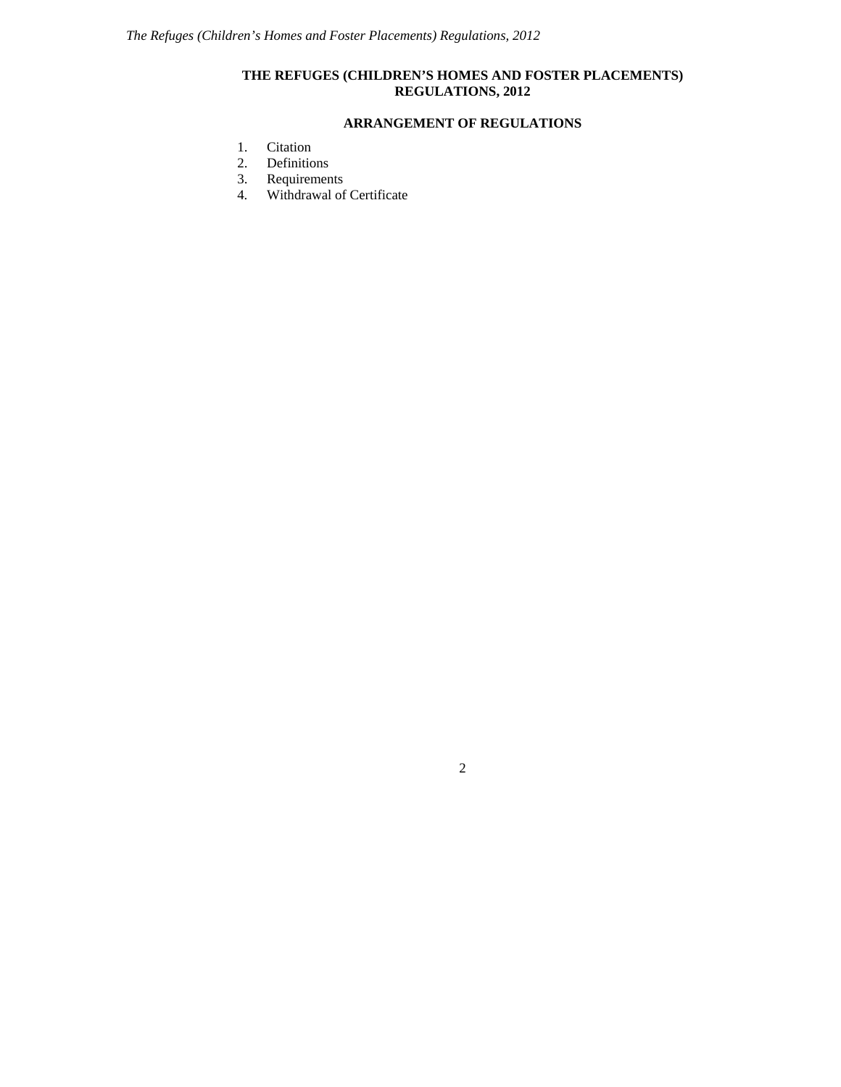### **THE REFUGES (CHILDREN'S HOMES AND FOSTER PLACEMENTS) REGULATIONS, 2012**

### **ARRANGEMENT OF REGULATIONS**

- 1. Citation
- 2. Definitions
- 3. Requirements
- 4. Withdrawal of Certificate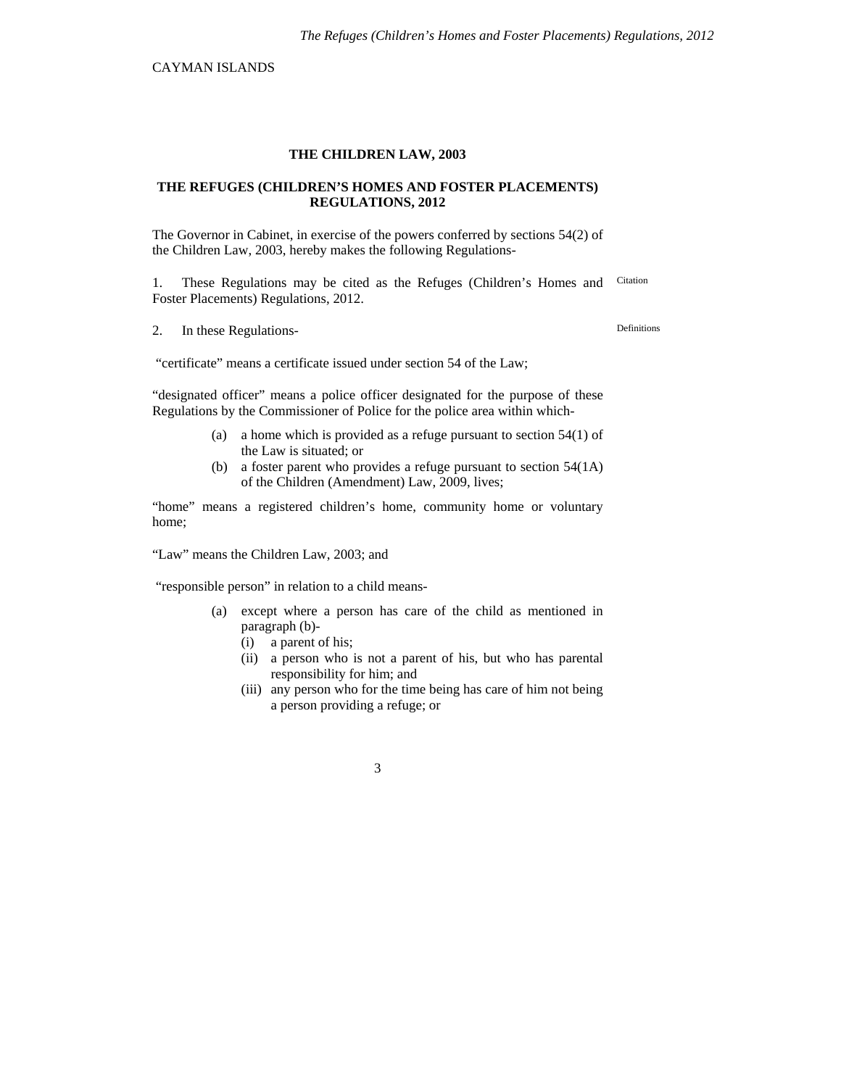CAYMAN ISLANDS

### **THE CHILDREN LAW, 2003**

#### **THE REFUGES (CHILDREN'S HOMES AND FOSTER PLACEMENTS) REGULATIONS, 2012**

The Governor in Cabinet, in exercise of the powers conferred by sections 54(2) of the Children Law, 2003, hereby makes the following Regulations-

1. These Regulations may be cited as the Refuges (Children's Homes and Foster Placements) Regulations, 2012. Citation

2. In these Regulations-<br>
Definitions

"certificate" means a certificate issued under section 54 of the Law;

"designated officer" means a police officer designated for the purpose of these Regulations by the Commissioner of Police for the police area within which-

- (a) a home which is provided as a refuge pursuant to section 54(1) of the Law is situated; or
- (b) a foster parent who provides a refuge pursuant to section 54(1A) of the Children (Amendment) Law, 2009, lives;

"home" means a registered children's home, community home or voluntary home;

"Law" means the Children Law, 2003; and

"responsible person" in relation to a child means-

- (a) except where a person has care of the child as mentioned in paragraph (b)-
	- (i) a parent of his;
	- (ii) a person who is not a parent of his, but who has parental responsibility for him; and
	- (iii) any person who for the time being has care of him not being a person providing a refuge; or

3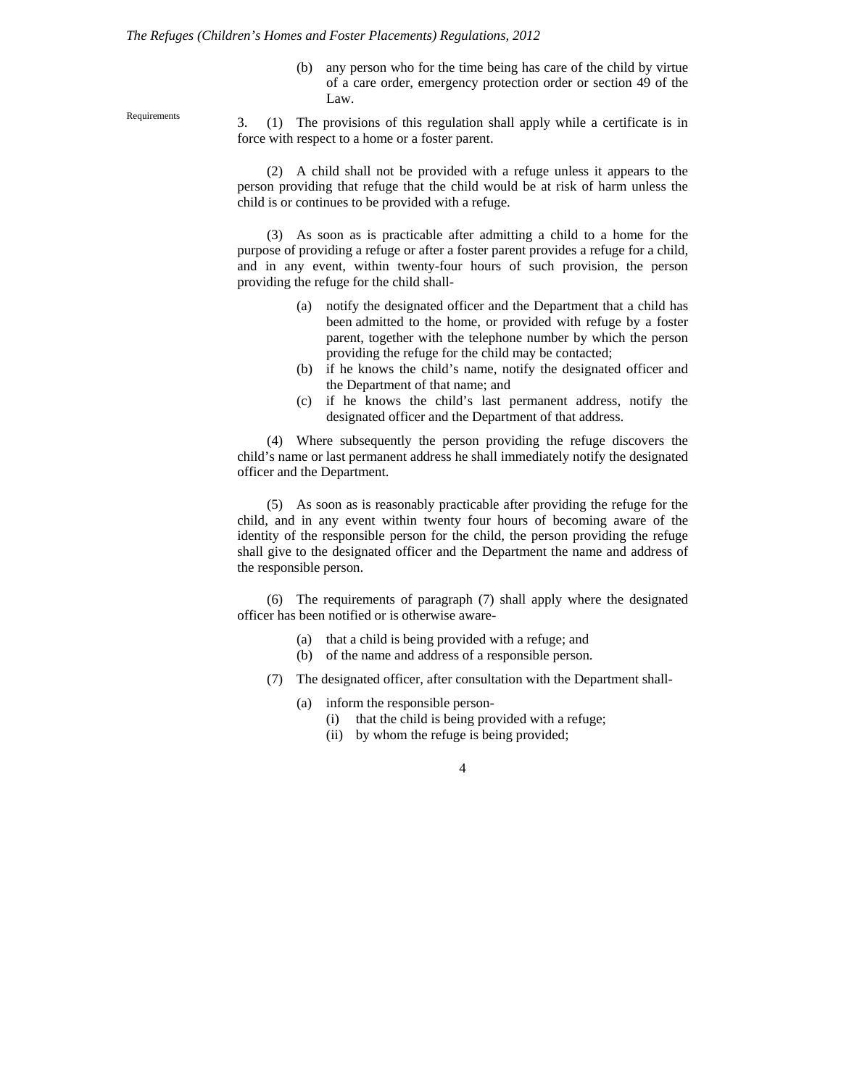#### *The Refuges (Children's Homes and Foster Placements) Regulations, 2012*

(b) any person who for the time being has care of the child by virtue of a care order, emergency protection order or section 49 of the Law.

Requirements 3. (1) The provisions of this regulation shall apply while a certificate is in force with respect to a home or a foster parent.

> (2) A child shall not be provided with a refuge unless it appears to the person providing that refuge that the child would be at risk of harm unless the child is or continues to be provided with a refuge.

> (3) As soon as is practicable after admitting a child to a home for the purpose of providing a refuge or after a foster parent provides a refuge for a child, and in any event, within twenty-four hours of such provision, the person providing the refuge for the child shall-

- (a) notify the designated officer and the Department that a child has been admitted to the home, or provided with refuge by a foster parent, together with the telephone number by which the person providing the refuge for the child may be contacted;
- (b) if he knows the child's name, notify the designated officer and the Department of that name; and
- (c) if he knows the child's last permanent address, notify the designated officer and the Department of that address.

(4) Where subsequently the person providing the refuge discovers the child's name or last permanent address he shall immediately notify the designated officer and the Department.

(5) As soon as is reasonably practicable after providing the refuge for the child, and in any event within twenty four hours of becoming aware of the identity of the responsible person for the child, the person providing the refuge shall give to the designated officer and the Department the name and address of the responsible person.

(6) The requirements of paragraph (7) shall apply where the designated officer has been notified or is otherwise aware-

- (a) that a child is being provided with a refuge; and
- (b) of the name and address of a responsible person.
- (7) The designated officer, after consultation with the Department shall-
	- (a) inform the responsible person-
		- (i) that the child is being provided with a refuge;
		- (ii) by whom the refuge is being provided;
			- 4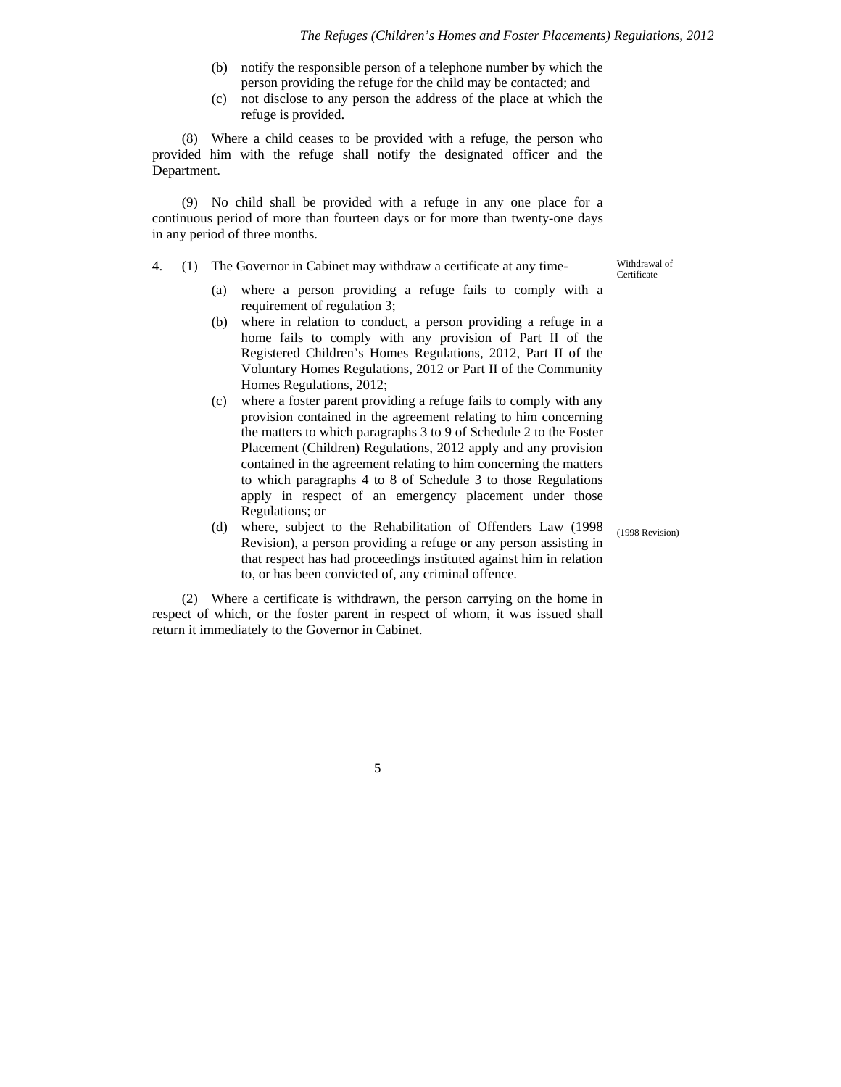- (b) notify the responsible person of a telephone number by which the person providing the refuge for the child may be contacted; and
- (c) not disclose to any person the address of the place at which the refuge is provided.

(8) Where a child ceases to be provided with a refuge, the person who provided him with the refuge shall notify the designated officer and the Department.

(9) No child shall be provided with a refuge in any one place for a continuous period of more than fourteen days or for more than twenty-one days in any period of three months.

4. (1) The Governor in Cabinet may withdraw a certificate at any time- Withdrawal of

**Certificate** 

- (a) where a person providing a refuge fails to comply with a requirement of regulation 3;
- (b) where in relation to conduct, a person providing a refuge in a home fails to comply with any provision of Part II of the Registered Children's Homes Regulations, 2012, Part II of the Voluntary Homes Regulations, 2012 or Part II of the Community Homes Regulations, 2012;
- (c) where a foster parent providing a refuge fails to comply with any provision contained in the agreement relating to him concerning the matters to which paragraphs 3 to 9 of Schedule 2 to the Foster Placement (Children) Regulations, 2012 apply and any provision contained in the agreement relating to him concerning the matters to which paragraphs 4 to 8 of Schedule 3 to those Regulations apply in respect of an emergency placement under those Regulations; or
- (d) where, subject to the Rehabilitation of Offenders Law (1998 Revision), a person providing a refuge or any person assisting in that respect has had proceedings instituted against him in relation to, or has been convicted of, any criminal offence.

(2) Where a certificate is withdrawn, the person carrying on the home in respect of which, or the foster parent in respect of whom, it was issued shall return it immediately to the Governor in Cabinet.

(1998 Revision)

5